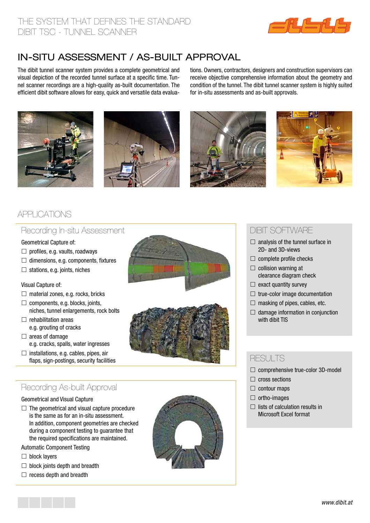

# In-Situ Assessment / As-built approval

The dibit tunnel scanner system provides a complete geometrical and visual depiction of the recorded tunnel surface at a specific time. Tunnel scanner recordings are a high-quality as-built documentation. The efficient dibit software allows for easy, quick and versatile data evaluations. Owners, contractors, designers and construction supervisors can receive objective comprehensive information about the geometry and condition of the tunnel. The dibit tunnel scanner system is highly suited for in-situ assessments and as-built approvals.









# applications

### Recording In-situ Assessment

Geometrical Capture of:

- $\Box$  profiles, e.g. vaults, roadways
- $\Box$  dimensions, e.g. components, fixtures
- $\Box$  stations, e.g. joints, niches

### Visual Capture of:

- $\Box$  material zones, e.g. rocks, bricks
- $\Box$  components, e.g. blocks, joints, niches, tunnel enlargements, rock bolts
- $\Box$  rehabilitation areas e.g. grouting of cracks
- $\Box$  areas of damage
	- e.g. cracks, spalls, water ingresses
- $\Box$  installations, e.g. cables, pipes, air flaps, sign-postings, security facilities

# Recording As-built Approval

### Geometrical and Visual Capture

 $\Box$  The geometrical and visual capture procedure is the same as for an in-situ assessment. In addition, component geometries are checked during a component testing to guarantee that the required specifications are maintained.

Automatic Component Testing

- $\Box$  block layers
- $\Box$  block joints depth and breadth
- $\Box$  recess depth and breadth



# dibit software

- $\Box$  analysis of the tunnel surface in 2D- and 3D-views
- $\Box$  complete profile checks
- $\Box$  collision warning at clearance diagram check
- $\Box$  exact quantity survey
- $\Box$  true-color image documentation
- $\Box$  masking of pipes, cables, etc.
- $\Box$  damage information in conjunction with dibit TIS

### **RESULTS**

- □ comprehensive true-color 3D-model
- $\Box$  cross sections
- $\Box$  contour maps
- $\Box$  ortho-images
- $\Box$  lists of calculation results in Microsoft Excel format